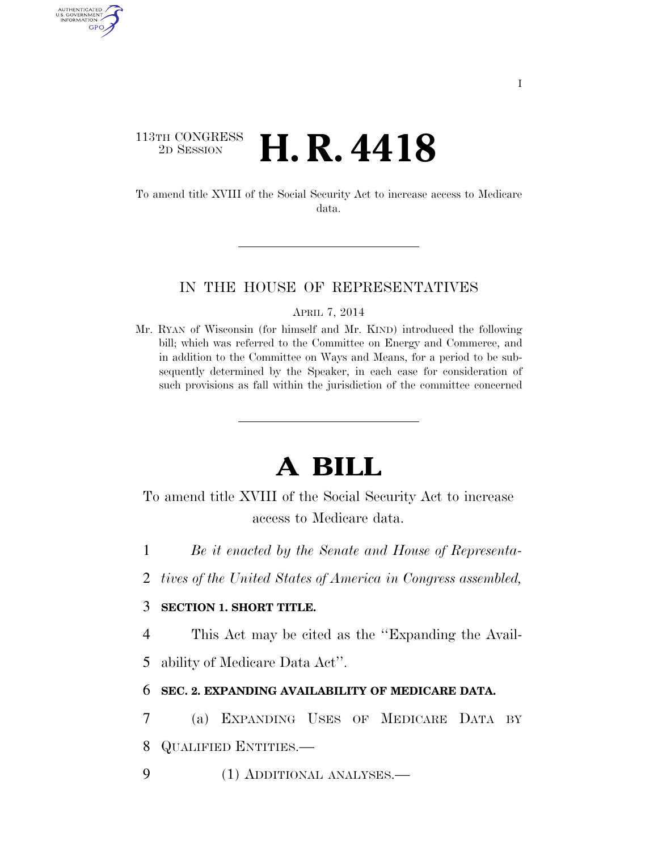## 113TH CONGRESS 2D SESSION **H. R. 4418**

AUTHENTICATED U.S. GOVERNMENT GPO

> To amend title XVIII of the Social Security Act to increase access to Medicare data.

#### IN THE HOUSE OF REPRESENTATIVES

APRIL 7, 2014

Mr. RYAN of Wisconsin (for himself and Mr. KIND) introduced the following bill; which was referred to the Committee on Energy and Commerce, and in addition to the Committee on Ways and Means, for a period to be subsequently determined by the Speaker, in each case for consideration of such provisions as fall within the jurisdiction of the committee concerned

# **A BILL**

To amend title XVIII of the Social Security Act to increase access to Medicare data.

1 *Be it enacted by the Senate and House of Representa-*

2 *tives of the United States of America in Congress assembled,* 

### 3 **SECTION 1. SHORT TITLE.**

4 This Act may be cited as the ''Expanding the Avail-

5 ability of Medicare Data Act''.

### 6 **SEC. 2. EXPANDING AVAILABILITY OF MEDICARE DATA.**

7 (a) EXPANDING USES OF MEDICARE DATA BY 8 QUALIFIED ENTITIES.—

9 (1) ADDITIONAL ANALYSES.—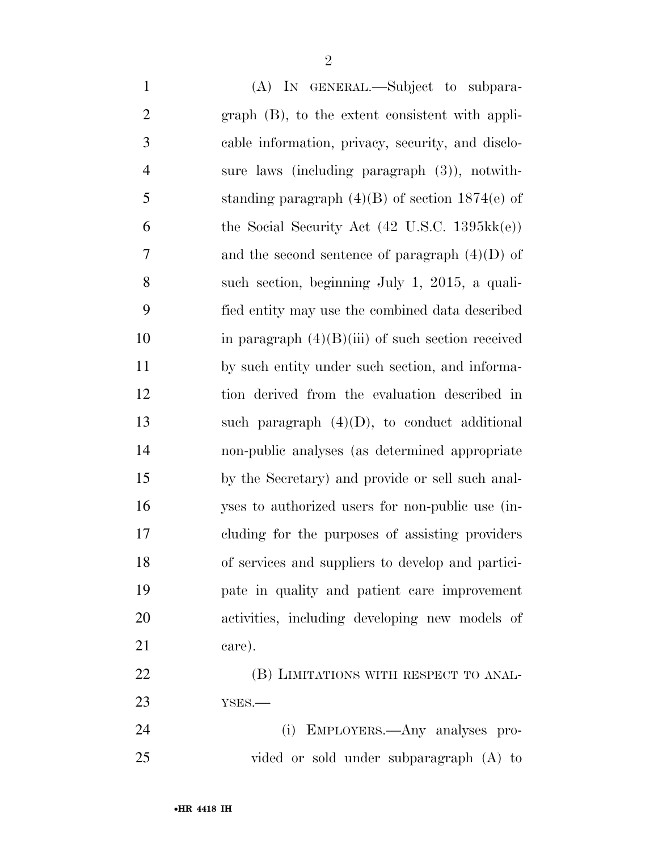| $\mathbf{1}$   | (A) IN GENERAL.—Subject to subpara-                              |
|----------------|------------------------------------------------------------------|
| $\overline{2}$ | graph (B), to the extent consistent with appli-                  |
| 3              | cable information, privacy, security, and disclo-                |
| $\overline{4}$ | sure laws (including paragraph $(3)$ ), notwith-                 |
| 5              | standing paragraph $(4)(B)$ of section 1874(e) of                |
| 6              | the Social Security Act $(42 \text{ U.S.C. } 1395 \text{kk}(e))$ |
| 7              | and the second sentence of paragraph $(4)(D)$ of                 |
| 8              | such section, beginning July 1, 2015, a quali-                   |
| 9              | fied entity may use the combined data described                  |
| 10             | in paragraph $(4)(B)(iii)$ of such section received              |
| 11             | by such entity under such section, and informa-                  |
| 12             | tion derived from the evaluation described in                    |
| 13             | such paragraph $(4)(D)$ , to conduct additional                  |
| 14             | non-public analyses (as determined appropriate                   |
| 15             | by the Secretary) and provide or sell such anal-                 |
| 16             | yses to authorized users for non-public use (in-                 |
| 17             | cluding for the purposes of assisting providers                  |
| 18             | of services and suppliers to develop and partici-                |
| 19             | pate in quality and patient care improvement                     |
| 20             | activities, including developing new models of                   |
| 21             | care).                                                           |
| 22             | (B) LIMITATIONS WITH RESPECT TO ANAL-                            |
| 23             | YSES.                                                            |
| 24             | (i) EMPLOYERS.—Any analyses pro-                                 |
| 25             | vided or sold under subparagraph (A) to                          |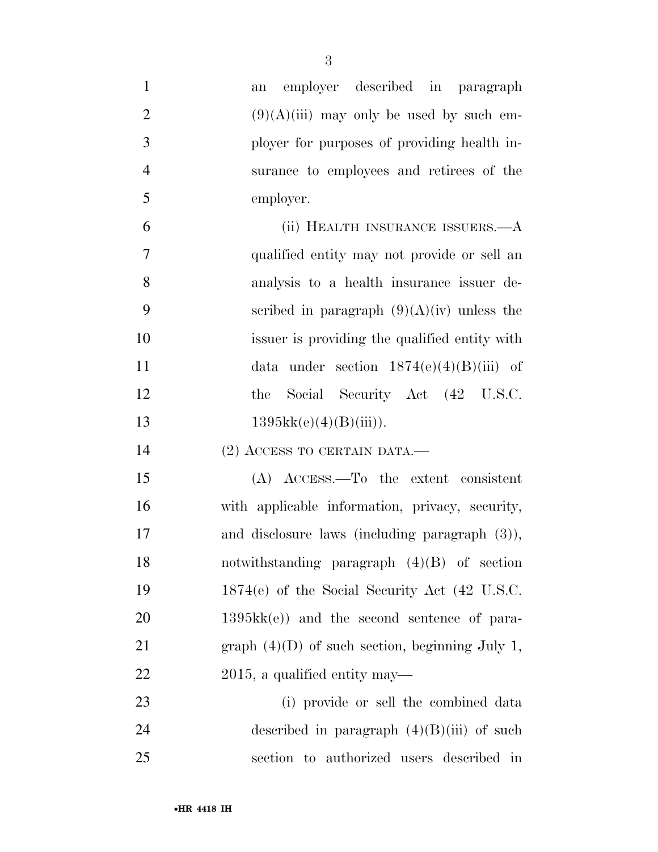| $\mathbf{1}$   | employer described in paragraph<br>an             |
|----------------|---------------------------------------------------|
| $\overline{2}$ | $(9)(A)(iii)$ may only be used by such em-        |
| 3              | ployer for purposes of providing health in-       |
| $\overline{4}$ | surance to employees and retirees of the          |
| 5              | employer.                                         |
| 6              | (ii) HEALTH INSURANCE ISSUERS.—A                  |
| 7              | qualified entity may not provide or sell an       |
| 8              | analysis to a health insurance issuer de-         |
| 9              | scribed in paragraph $(9)(A)(iv)$ unless the      |
| 10             | issuer is providing the qualified entity with     |
| 11             | data under section $1874(e)(4)(B)(iii)$ of        |
| 12             | Social Security Act (42 U.S.C.<br>the             |
| 13             | 1395kk(e)(4)(B(iii)).                             |
| 14             | $(2)$ ACCESS TO CERTAIN DATA.—                    |
| 15             | (A) ACCESS.—To the extent consistent              |
| 16             | with applicable information, privacy, security,   |
| 17             | and disclosure laws (including paragraph $(3)$ ), |
| 18             | notwithstanding paragraph $(4)(B)$ of section     |
| 19             | 1874(e) of the Social Security Act (42 U.S.C.     |
| 20             | $1395kk(e)$ and the second sentence of para-      |
| 21             | graph $(4)(D)$ of such section, beginning July 1, |
| 22             | 2015, a qualified entity may—                     |
| 23             | (i) provide or sell the combined data             |
| 24             | described in paragraph $(4)(B)(iii)$ of such      |
| 25             | section to authorized users described in          |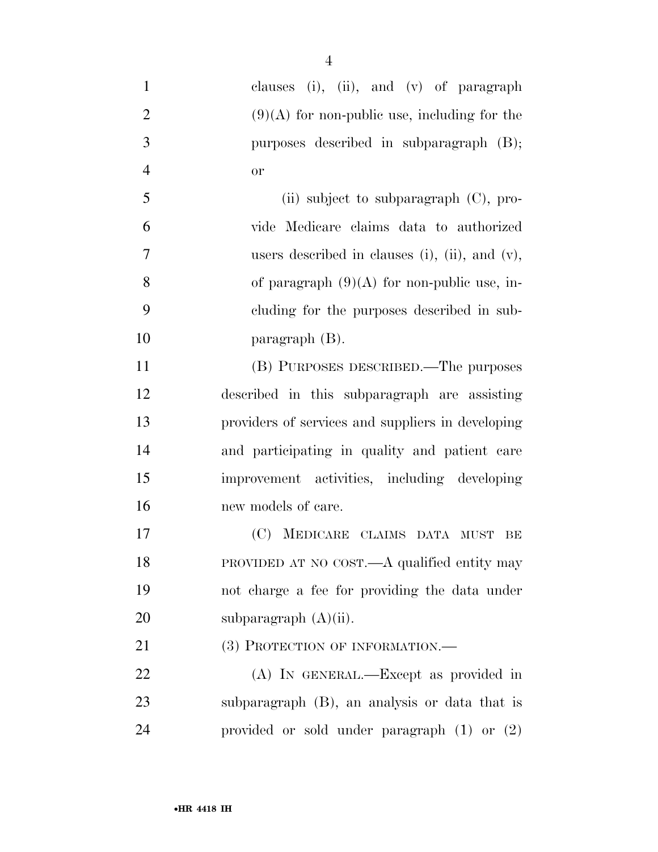- clauses (i), (ii), and (v) of paragraph 2 (9)(A) for non-public use, including for the purposes described in subparagraph (B); or (ii) subject to subparagraph  $(C)$ , pro- vide Medicare claims data to authorized users described in clauses (i), (ii), and (v), 8 of paragraph  $(9)(A)$  for non-public use, in- cluding for the purposes described in sub- paragraph (B). (B) PURPOSES DESCRIBED.—The purposes described in this subparagraph are assisting providers of services and suppliers in developing and participating in quality and patient care improvement activities, including developing new models of care. (C) MEDICARE CLAIMS DATA MUST BE PROVIDED AT NO COST.—A qualified entity may not charge a fee for providing the data under
- 20 subparagraph (A)(ii).

21 (3) PROTECTION OF INFORMATION.—

 (A) IN GENERAL.—Except as provided in subparagraph (B), an analysis or data that is provided or sold under paragraph (1) or (2)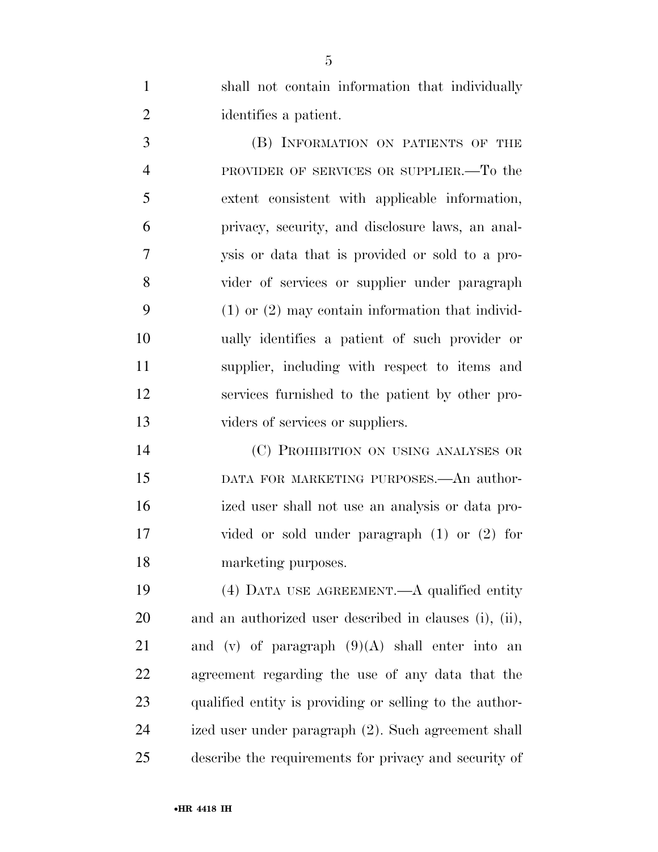shall not contain information that individually identifies a patient.

 (B) INFORMATION ON PATIENTS OF THE PROVIDER OF SERVICES OR SUPPLIER.—To the extent consistent with applicable information, privacy, security, and disclosure laws, an anal- ysis or data that is provided or sold to a pro- vider of services or supplier under paragraph (1) or (2) may contain information that individ- ually identifies a patient of such provider or supplier, including with respect to items and services furnished to the patient by other pro-13 viders of services or suppliers.

 (C) PROHIBITION ON USING ANALYSES OR DATA FOR MARKETING PURPOSES.—An author- ized user shall not use an analysis or data pro- vided or sold under paragraph (1) or (2) for marketing purposes.

 (4) DATA USE AGREEMENT.—A qualified entity and an authorized user described in clauses (i), (ii), 21 and (v) of paragraph  $(9)(A)$  shall enter into an agreement regarding the use of any data that the qualified entity is providing or selling to the author- ized user under paragraph (2). Such agreement shall describe the requirements for privacy and security of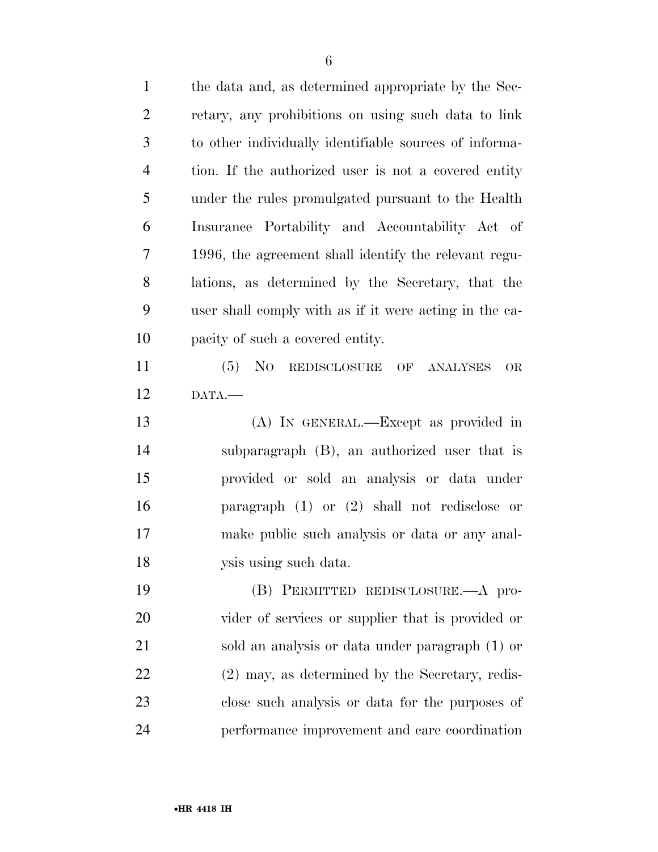| $\mathbf{1}$   | the data and, as determined appropriate by the Sec-      |
|----------------|----------------------------------------------------------|
| $\overline{2}$ | retary, any prohibitions on using such data to link      |
| 3              | to other individually identifiable sources of informa-   |
| $\overline{4}$ | tion. If the authorized user is not a covered entity     |
| 5              | under the rules promulgated pursuant to the Health       |
| 6              | Insurance Portability and Accountability Act of          |
| 7              | 1996, the agreement shall identify the relevant regu-    |
| 8              | lations, as determined by the Secretary, that the        |
| 9              | user shall comply with as if it were acting in the ca-   |
| 10             | pacity of such a covered entity.                         |
| 11             | No<br>(5)<br>REDISCLOSURE<br>OF<br><b>ANALYSES</b><br>OR |
| 12             | DATA.                                                    |
| 13             | (A) IN GENERAL.—Except as provided in                    |
| 14             | subparagraph (B), an authorized user that is             |
| 15             | provided or sold an analysis or data under               |
| 16             | paragraph $(1)$ or $(2)$ shall not redisclose or         |
| 17             | make public such analysis or data or any anal-           |
| 18             | ysis using such data.                                    |
| 19             | (B) PERMITTED REDISCLOSURE.—A pro-                       |
| 20             | vider of services or supplier that is provided or        |
| 21             | sold an analysis or data under paragraph (1) or          |
| 22             | $(2)$ may, as determined by the Secretary, redis-        |
| 23             | close such analysis or data for the purposes of          |
| 24             | performance improvement and care coordination            |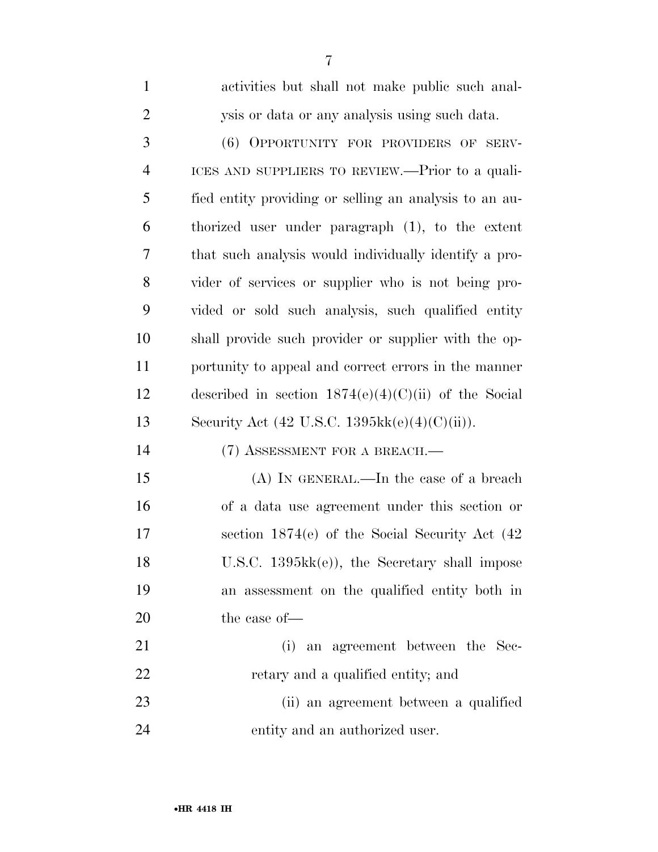| $\overline{2}$ | ysis or data or any analysis using such data.                    |
|----------------|------------------------------------------------------------------|
| 3              | (6) OPPORTUNITY FOR PROVIDERS OF SERV-                           |
| $\overline{4}$ | ICES AND SUPPLIERS TO REVIEW.—Prior to a quali-                  |
| 5              | fied entity providing or selling an analysis to an au-           |
| 6              | thorized user under paragraph (1), to the extent                 |
| 7              | that such analysis would individually identify a pro-            |
| 8              | vider of services or supplier who is not being pro-              |
| 9              | vided or sold such analysis, such qualified entity               |
| 10             | shall provide such provider or supplier with the op-             |
| 11             | portunity to appeal and correct errors in the manner             |
| 12             | described in section $1874(e)(4)(C)(ii)$ of the Social           |
| 13             | Security Act $(42 \text{ U.S.C. } 1395 \text{kk}(e)(4)(C)(ii)).$ |
| 14             | (7) ASSESSMENT FOR A BREACH.-                                    |
| 15             | $(A)$ In GENERAL.—In the case of a breach                        |
| 16             | of a data use agreement under this section or                    |
| 17             | section $1874(e)$ of the Social Security Act $(42)$              |
| 18             | U.S.C. 1395kk(e)), the Secretary shall impose                    |
| 19             | an assessment on the qualified entity both in                    |
| 20             | the case of-                                                     |
| 21             | (i) an agreement between the Sec-                                |
| 22             | retary and a qualified entity; and                               |
| 23             | (ii) an agreement between a qualified                            |
| 24             | entity and an authorized user.                                   |

activities but shall not make public such anal-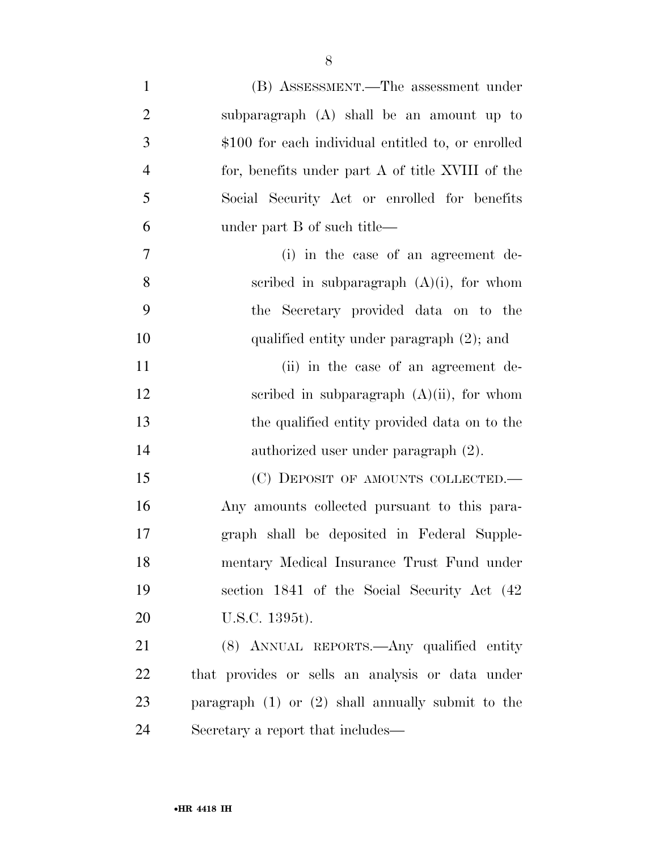| $\mathbf{1}$   | (B) ASSESSMENT.—The assessment under                  |
|----------------|-------------------------------------------------------|
| $\overline{2}$ | subparagraph (A) shall be an amount up to             |
| 3              | \$100 for each individual entitled to, or enrolled    |
| $\overline{4}$ | for, benefits under part A of title XVIII of the      |
| 5              | Social Security Act or enrolled for benefits          |
| 6              | under part B of such title—                           |
| 7              | (i) in the case of an agreement de-                   |
| 8              | scribed in subparagraph $(A)(i)$ , for whom           |
| 9              | the Secretary provided data on to the                 |
| 10             | qualified entity under paragraph $(2)$ ; and          |
| 11             | (ii) in the case of an agreement de-                  |
| 12             | scribed in subparagraph $(A)(ii)$ , for whom          |
| 13             | the qualified entity provided data on to the          |
| 14             | authorized user under paragraph (2).                  |
| 15             | (C) DEPOSIT OF AMOUNTS COLLECTED.                     |
| 16             | Any amounts collected pursuant to this para-          |
| 17             | graph shall be deposited in Federal Supple-           |
| 18             | mentary Medical Insurance Trust Fund under            |
| 19             | section 1841 of the Social Security Act (42)          |
| 20             | U.S.C. 1395t).                                        |
| 21             | (8) ANNUAL REPORTS.—Any qualified entity              |
| 22             | that provides or sells an analysis or data under      |
| 23             | paragraph $(1)$ or $(2)$ shall annually submit to the |
| 24             | Secretary a report that includes—                     |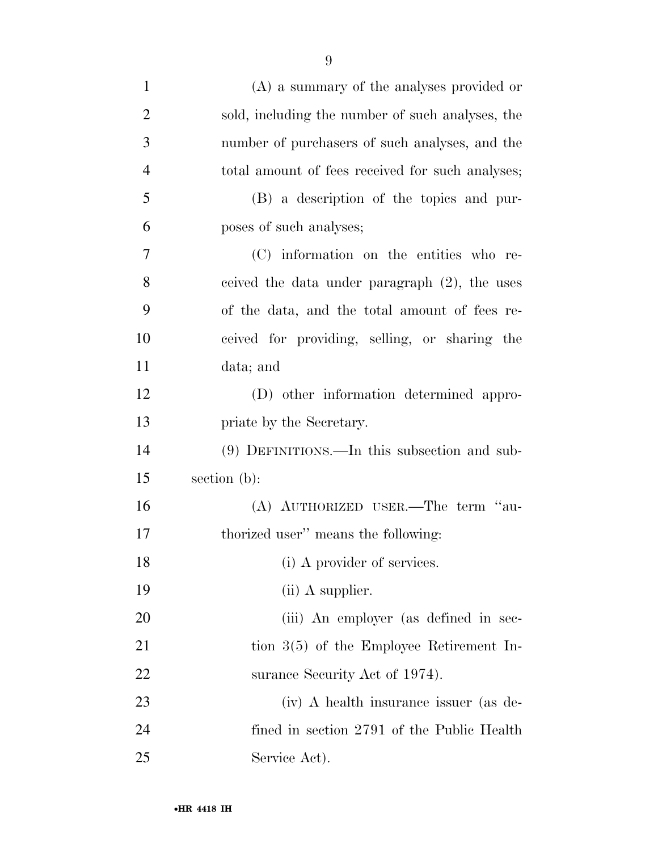| $\mathbf{1}$   | $(A)$ a summary of the analyses provided or      |
|----------------|--------------------------------------------------|
| $\overline{2}$ | sold, including the number of such analyses, the |
| 3              | number of purchasers of such analyses, and the   |
| $\overline{4}$ | total amount of fees received for such analyses; |
| 5              | (B) a description of the topics and pur-         |
| 6              | poses of such analyses;                          |
| 7              | (C) information on the entities who re-          |
| 8              | ceived the data under paragraph $(2)$ , the uses |
| 9              | of the data, and the total amount of fees re-    |
| 10             | ceived for providing, selling, or sharing the    |
| 11             | data; and                                        |
| 12             | (D) other information determined appro-          |
| 13             | priate by the Secretary.                         |
| 14             | $(9)$ DEFINITIONS.—In this subsection and sub-   |
| 15             | section (b):                                     |
| 16             | (A) AUTHORIZED USER.—The term "au-               |
| 17             | thorized user" means the following:              |
| 18             | (i) A provider of services.                      |
| 19             | $(ii)$ A supplier.                               |
| 20             | (iii) An employer (as defined in sec-            |
| 21             | tion $3(5)$ of the Employee Retirement In-       |
| 22             | surance Security Act of 1974).                   |
| 23             | (iv) A health insurance issuer (as de-           |
| 24             | fined in section 2791 of the Public Health       |

Service Act).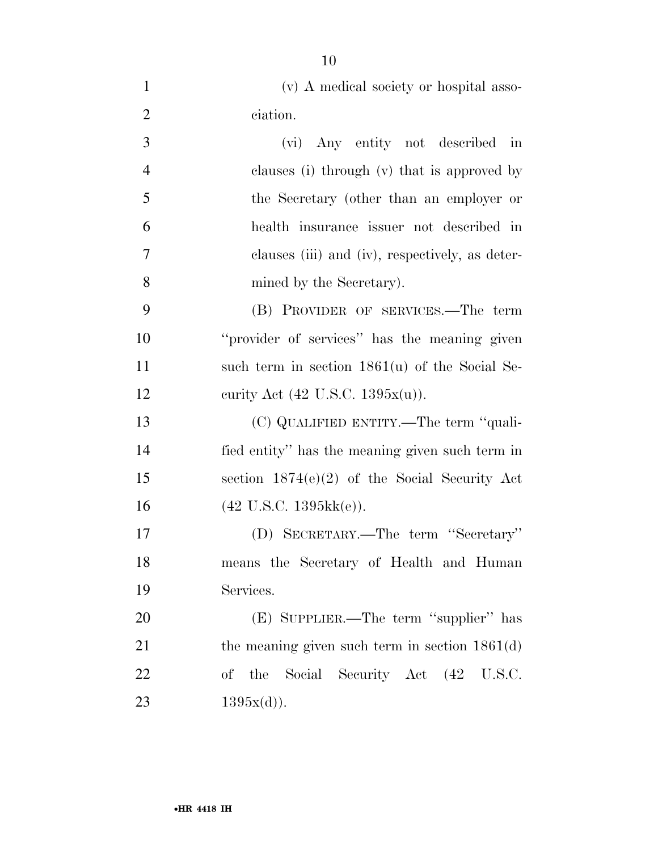| (v) A medical society or hospital asso- |  |
|-----------------------------------------|--|
| ciation.                                |  |

| 3 | (vi) Any entity not described in                |
|---|-------------------------------------------------|
| 4 | clauses (i) through (v) that is approved by     |
| 5 | the Secretary (other than an employer or        |
| 6 | health insurance issuer not described in        |
| 7 | clauses (iii) and (iv), respectively, as deter- |
| 8 | mined by the Secretary).                        |
|   |                                                 |

 (B) PROVIDER OF SERVICES.—The term ''provider of services'' has the meaning given such term in section 1861(u) of the Social Se-12 curity Act (42 U.S.C. 1395x(u)).

 (C) QUALIFIED ENTITY.—The term ''quali- fied entity'' has the meaning given such term in section 1874(e)(2) of the Social Security Act (42 U.S.C. 1395kk(e)).

 (D) SECRETARY.—The term ''Secretary'' means the Secretary of Health and Human Services.

 (E) SUPPLIER.—The term ''supplier'' has 21 the meaning given such term in section 1861(d) of the Social Security Act (42 U.S.C.  $1395x(d)$ .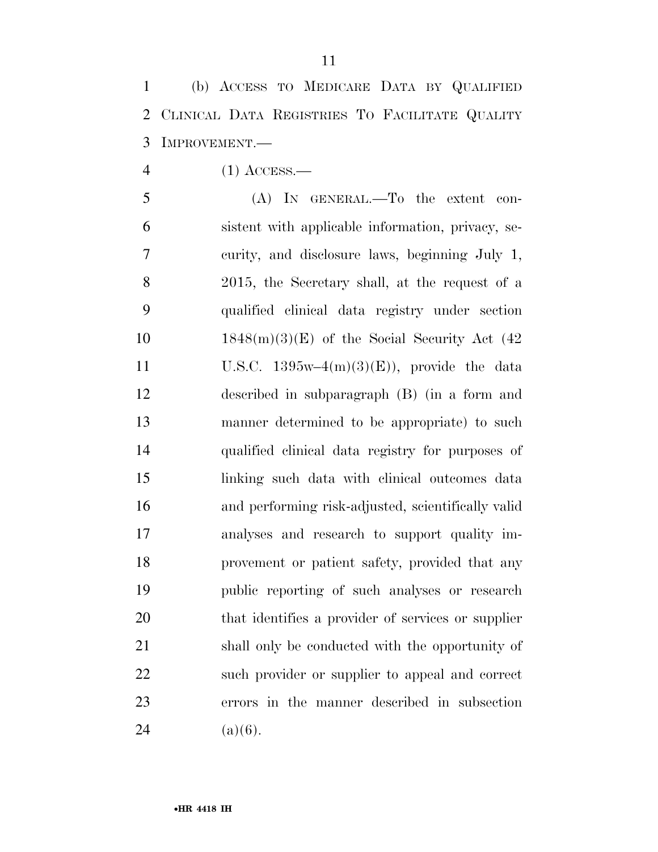(b) ACCESS TO MEDICARE DATA BY QUALIFIED CLINICAL DATA REGISTRIES TO FACILITATE QUALITY IMPROVEMENT.—

(1) ACCESS.—

 (A) IN GENERAL.—To the extent con- sistent with applicable information, privacy, se- curity, and disclosure laws, beginning July 1, 2015, the Secretary shall, at the request of a qualified clinical data registry under section  $1848(m)(3)(E)$  of the Social Security Act (42) 11 U.S.C.  $1395w-4(m)(3)(E)$ , provide the data described in subparagraph (B) (in a form and manner determined to be appropriate) to such qualified clinical data registry for purposes of linking such data with clinical outcomes data and performing risk-adjusted, scientifically valid analyses and research to support quality im- provement or patient safety, provided that any public reporting of such analyses or research that identifies a provider of services or supplier shall only be conducted with the opportunity of such provider or supplier to appeal and correct errors in the manner described in subsection 24 (a)(6).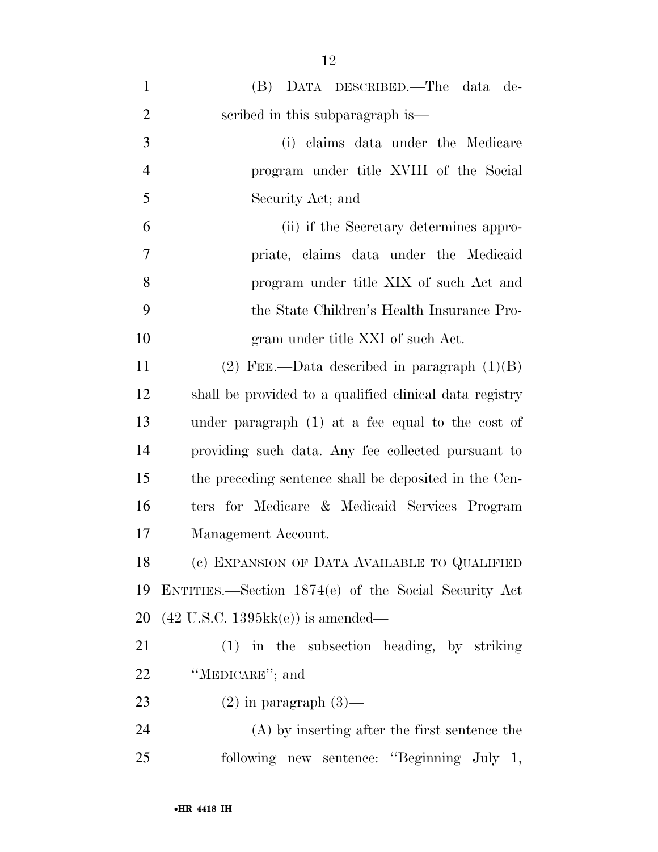| $\mathbf{1}$   | (B) DATA DESCRIBED.—The data de-                        |
|----------------|---------------------------------------------------------|
| $\overline{2}$ | scribed in this subparagraph is—                        |
| 3              | (i) claims data under the Medicare                      |
| $\overline{4}$ | program under title XVIII of the Social                 |
| 5              | Security Act; and                                       |
| 6              | (ii) if the Secretary determines appro-                 |
| 7              | priate, claims data under the Medicaid                  |
| 8              | program under title XIX of such Act and                 |
| 9              | the State Children's Health Insurance Pro-              |
| 10             | gram under title XXI of such Act.                       |
| 11             | (2) FEE.—Data described in paragraph $(1)(B)$           |
| 12             | shall be provided to a qualified clinical data registry |
| 13             | under paragraph $(1)$ at a fee equal to the cost of     |
| 14             | providing such data. Any fee collected pursuant to      |
| 15             | the preceding sentence shall be deposited in the Cen-   |
| 16             | ters for Medicare & Medicaid Services Program           |
| 17             | Management Account.                                     |
| 18             | (c) EXPANSION OF DATA AVAILABLE TO QUALIFIED            |
| 19             | ENTITIES.—Section 1874(e) of the Social Security Act    |
| 20             | $(42 \text{ U.S.C. } 1395 \text{kk}(e))$ is amended—    |
| 21             | $(1)$ in the subsection heading, by striking            |
| 22             | "MEDICARE"; and                                         |
| 23             | $(2)$ in paragraph $(3)$ —                              |
| 24             | $(A)$ by inserting after the first sentence the         |
| 25             | following new sentence: "Beginning July 1,              |